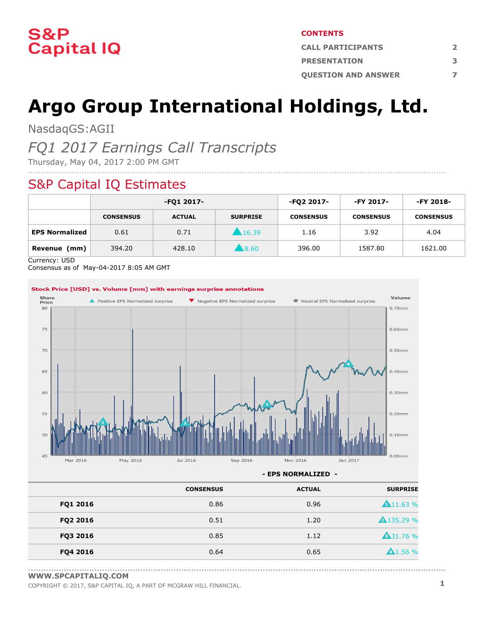

#### **CONTENTS**

| <b>CALL PARTICIPANTS</b>   |  |  |
|----------------------------|--|--|
| <b>PRESENTATION</b>        |  |  |
| <b>OUESTION AND ANSWER</b> |  |  |

# **Argo Group International Holdings, Ltd.**

NasdaqGS:AGII

### *FQ1 2017 Earnings Call Transcripts*

Thursday, May 04, 2017 2:00 PM GMT

### S&P Capital IQ Estimates

|                       | -FQ1 2017-       |               | -FQ2 2017-          | -FY 2017-        | -FY 2018-        |                  |
|-----------------------|------------------|---------------|---------------------|------------------|------------------|------------------|
|                       | <b>CONSENSUS</b> | <b>ACTUAL</b> | <b>SURPRISE</b>     | <b>CONSENSUS</b> | <b>CONSENSUS</b> | <b>CONSENSUS</b> |
| <b>EPS Normalized</b> | 0.61             | 0.71          | 16.39               | 1.16             | 3.92             | 4.04             |
| (mm)<br>Revenue       | 394.20           | 428.10        | $\blacksquare 8.60$ | 396.00           | 1587.80          | 1621.00          |

....................................................................................................................................................................

Currency: USD

Consensus as of May-04-2017 8:05 AM GMT



**- EPS NORMALIZED -**

|          | <b>CONSENSUS</b> | <b>ACTUAL</b> | <b>SURPRISE</b>     |
|----------|------------------|---------------|---------------------|
| FQ1 2016 | 0.86             | 0.96          | $\triangle$ 11.63 % |
| FQ2 2016 | 0.51             | 1.20          | <b>A</b> 135.29 %   |
| FQ3 2016 | 0.85             | 1.12          | <b>A31.76 %</b>     |
| FQ4 2016 | 0.64             | 0.65          | A1.56%              |

<sup>....................................................................................................................................................................</sup> **[WWW.SPCAPITALIQ.COM](https://www.capitaliq.com/home.aspx)**

COPYRIGHT © 2017, S&P CAPITAL IQ, <sup>A</sup> PART OF MCGRAW HILL FINANCIAL. **1**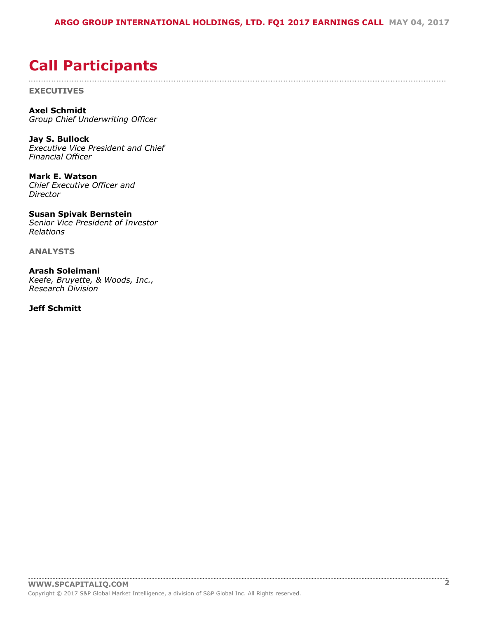....................................................................................................................................................................

## <span id="page-1-0"></span>**Call Participants**

**EXECUTIVES**

**Axel Schmidt** *Group Chief Underwriting Officer*

**Jay S. Bullock** *Executive Vice President and Chief Financial Officer*

**Mark E. Watson** *Chief Executive Officer and Director*

**Susan Spivak Bernstein** *Senior Vice President of Investor Relations*

**ANALYSTS**

**Arash Soleimani** *Keefe, Bruyette, & Woods, Inc., Research Division*

**Jeff Schmitt**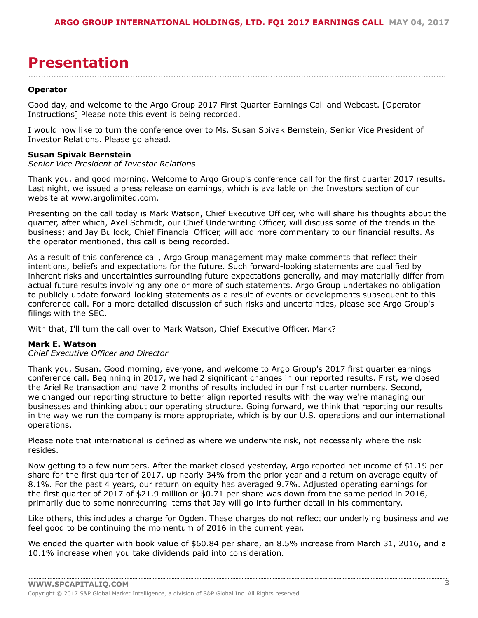### <span id="page-2-0"></span>**Presentation**

#### **Operator**

Good day, and welcome to the Argo Group 2017 First Quarter Earnings Call and Webcast. [Operator Instructions] Please note this event is being recorded.

....................................................................................................................................................................

I would now like to turn the conference over to Ms. Susan Spivak Bernstein, Senior Vice President of Investor Relations. Please go ahead.

#### **Susan Spivak Bernstein**

#### *Senior Vice President of Investor Relations*

Thank you, and good morning. Welcome to Argo Group's conference call for the first quarter 2017 results. Last night, we issued a press release on earnings, which is available on the Investors section of our website at www.argolimited.com.

Presenting on the call today is Mark Watson, Chief Executive Officer, who will share his thoughts about the quarter, after which, Axel Schmidt, our Chief Underwriting Officer, will discuss some of the trends in the business; and Jay Bullock, Chief Financial Officer, will add more commentary to our financial results. As the operator mentioned, this call is being recorded.

As a result of this conference call, Argo Group management may make comments that reflect their intentions, beliefs and expectations for the future. Such forward-looking statements are qualified by inherent risks and uncertainties surrounding future expectations generally, and may materially differ from actual future results involving any one or more of such statements. Argo Group undertakes no obligation to publicly update forward-looking statements as a result of events or developments subsequent to this conference call. For a more detailed discussion of such risks and uncertainties, please see Argo Group's filings with the SEC.

With that, I'll turn the call over to Mark Watson, Chief Executive Officer. Mark?

#### **Mark E. Watson**

#### *Chief Executive Officer and Director*

Thank you, Susan. Good morning, everyone, and welcome to Argo Group's 2017 first quarter earnings conference call. Beginning in 2017, we had 2 significant changes in our reported results. First, we closed the Ariel Re transaction and have 2 months of results included in our first quarter numbers. Second, we changed our reporting structure to better align reported results with the way we're managing our businesses and thinking about our operating structure. Going forward, we think that reporting our results in the way we run the company is more appropriate, which is by our U.S. operations and our international operations.

Please note that international is defined as where we underwrite risk, not necessarily where the risk resides.

Now getting to a few numbers. After the market closed yesterday, Argo reported net income of \$1.19 per share for the first quarter of 2017, up nearly 34% from the prior year and a return on average equity of 8.1%. For the past 4 years, our return on equity has averaged 9.7%. Adjusted operating earnings for the first quarter of 2017 of \$21.9 million or \$0.71 per share was down from the same period in 2016, primarily due to some nonrecurring items that Jay will go into further detail in his commentary.

Like others, this includes a charge for Ogden. These charges do not reflect our underlying business and we feel good to be continuing the momentum of 2016 in the current year.

We ended the quarter with book value of \$60.84 per share, an 8.5% increase from March 31, 2016, and a 10.1% increase when you take dividends paid into consideration.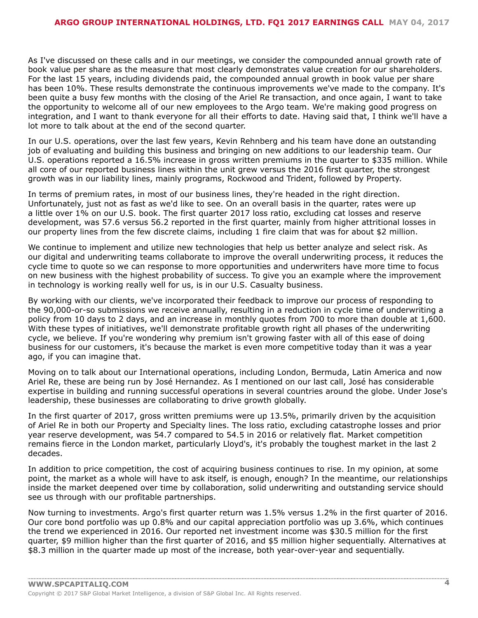As I've discussed on these calls and in our meetings, we consider the compounded annual growth rate of book value per share as the measure that most clearly demonstrates value creation for our shareholders. For the last 15 years, including dividends paid, the compounded annual growth in book value per share has been 10%. These results demonstrate the continuous improvements we've made to the company. It's been quite a busy few months with the closing of the Ariel Re transaction, and once again, I want to take the opportunity to welcome all of our new employees to the Argo team. We're making good progress on integration, and I want to thank everyone for all their efforts to date. Having said that, I think we'll have a lot more to talk about at the end of the second quarter.

In our U.S. operations, over the last few years, Kevin Rehnberg and his team have done an outstanding job of evaluating and building this business and bringing on new additions to our leadership team. Our U.S. operations reported a 16.5% increase in gross written premiums in the quarter to \$335 million. While all core of our reported business lines within the unit grew versus the 2016 first quarter, the strongest growth was in our liability lines, mainly programs, Rockwood and Trident, followed by Property.

In terms of premium rates, in most of our business lines, they're headed in the right direction. Unfortunately, just not as fast as we'd like to see. On an overall basis in the quarter, rates were up a little over 1% on our U.S. book. The first quarter 2017 loss ratio, excluding cat losses and reserve development, was 57.6 versus 56.2 reported in the first quarter, mainly from higher attritional losses in our property lines from the few discrete claims, including 1 fire claim that was for about \$2 million.

We continue to implement and utilize new technologies that help us better analyze and select risk. As our digital and underwriting teams collaborate to improve the overall underwriting process, it reduces the cycle time to quote so we can response to more opportunities and underwriters have more time to focus on new business with the highest probability of success. To give you an example where the improvement in technology is working really well for us, is in our U.S. Casualty business.

By working with our clients, we've incorporated their feedback to improve our process of responding to the 90,000-or-so submissions we receive annually, resulting in a reduction in cycle time of underwriting a policy from 10 days to 2 days, and an increase in monthly quotes from 700 to more than double at 1,600. With these types of initiatives, we'll demonstrate profitable growth right all phases of the underwriting cycle, we believe. If you're wondering why premium isn't growing faster with all of this ease of doing business for our customers, it's because the market is even more competitive today than it was a year ago, if you can imagine that.

Moving on to talk about our International operations, including London, Bermuda, Latin America and now Ariel Re, these are being run by José Hernandez. As I mentioned on our last call, José has considerable expertise in building and running successful operations in several countries around the globe. Under Jose's leadership, these businesses are collaborating to drive growth globally.

In the first quarter of 2017, gross written premiums were up 13.5%, primarily driven by the acquisition of Ariel Re in both our Property and Specialty lines. The loss ratio, excluding catastrophe losses and prior year reserve development, was 54.7 compared to 54.5 in 2016 or relatively flat. Market competition remains fierce in the London market, particularly Lloyd's, it's probably the toughest market in the last 2 decades.

In addition to price competition, the cost of acquiring business continues to rise. In my opinion, at some point, the market as a whole will have to ask itself, is enough, enough? In the meantime, our relationships inside the market deepened over time by collaboration, solid underwriting and outstanding service should see us through with our profitable partnerships.

Now turning to investments. Argo's first quarter return was 1.5% versus 1.2% in the first quarter of 2016. Our core bond portfolio was up 0.8% and our capital appreciation portfolio was up 3.6%, which continues the trend we experienced in 2016. Our reported net investment income was \$30.5 million for the first quarter, \$9 million higher than the first quarter of 2016, and \$5 million higher sequentially. Alternatives at \$8.3 million in the quarter made up most of the increase, both year-over-year and sequentially.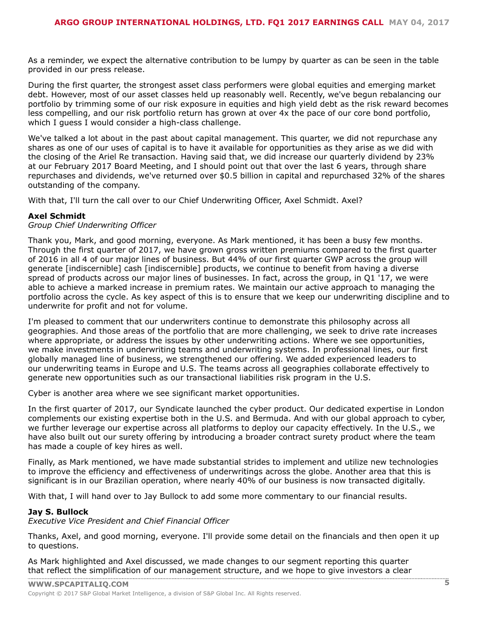As a reminder, we expect the alternative contribution to be lumpy by quarter as can be seen in the table provided in our press release.

During the first quarter, the strongest asset class performers were global equities and emerging market debt. However, most of our asset classes held up reasonably well. Recently, we've begun rebalancing our portfolio by trimming some of our risk exposure in equities and high yield debt as the risk reward becomes less compelling, and our risk portfolio return has grown at over 4x the pace of our core bond portfolio, which I guess I would consider a high-class challenge.

We've talked a lot about in the past about capital management. This quarter, we did not repurchase any shares as one of our uses of capital is to have it available for opportunities as they arise as we did with the closing of the Ariel Re transaction. Having said that, we did increase our quarterly dividend by 23% at our February 2017 Board Meeting, and I should point out that over the last 6 years, through share repurchases and dividends, we've returned over \$0.5 billion in capital and repurchased 32% of the shares outstanding of the company.

With that, I'll turn the call over to our Chief Underwriting Officer, Axel Schmidt. Axel?

#### **Axel Schmidt**

#### *Group Chief Underwriting Officer*

Thank you, Mark, and good morning, everyone. As Mark mentioned, it has been a busy few months. Through the first quarter of 2017, we have grown gross written premiums compared to the first quarter of 2016 in all 4 of our major lines of business. But 44% of our first quarter GWP across the group will generate [indiscernible] cash [indiscernible] products, we continue to benefit from having a diverse spread of products across our major lines of businesses. In fact, across the group, in Q1 '17, we were able to achieve a marked increase in premium rates. We maintain our active approach to managing the portfolio across the cycle. As key aspect of this is to ensure that we keep our underwriting discipline and to underwrite for profit and not for volume.

I'm pleased to comment that our underwriters continue to demonstrate this philosophy across all geographies. And those areas of the portfolio that are more challenging, we seek to drive rate increases where appropriate, or address the issues by other underwriting actions. Where we see opportunities, we make investments in underwriting teams and underwriting systems. In professional lines, our first globally managed line of business, we strengthened our offering. We added experienced leaders to our underwriting teams in Europe and U.S. The teams across all geographies collaborate effectively to generate new opportunities such as our transactional liabilities risk program in the U.S.

Cyber is another area where we see significant market opportunities.

In the first quarter of 2017, our Syndicate launched the cyber product. Our dedicated expertise in London complements our existing expertise both in the U.S. and Bermuda. And with our global approach to cyber, we further leverage our expertise across all platforms to deploy our capacity effectively. In the U.S., we have also built out our surety offering by introducing a broader contract surety product where the team has made a couple of key hires as well.

Finally, as Mark mentioned, we have made substantial strides to implement and utilize new technologies to improve the efficiency and effectiveness of underwritings across the globe. Another area that this is significant is in our Brazilian operation, where nearly 40% of our business is now transacted digitally.

With that, I will hand over to Jay Bullock to add some more commentary to our financial results.

#### **Jay S. Bullock**

*Executive Vice President and Chief Financial Officer*

Thanks, Axel, and good morning, everyone. I'll provide some detail on the financials and then open it up to questions.

As Mark highlighted and Axel discussed, we made changes to our segment reporting this quarter that reflect the [simplificat](www.capitaliq.com)ion of our management structure, and we hope to give investors a clear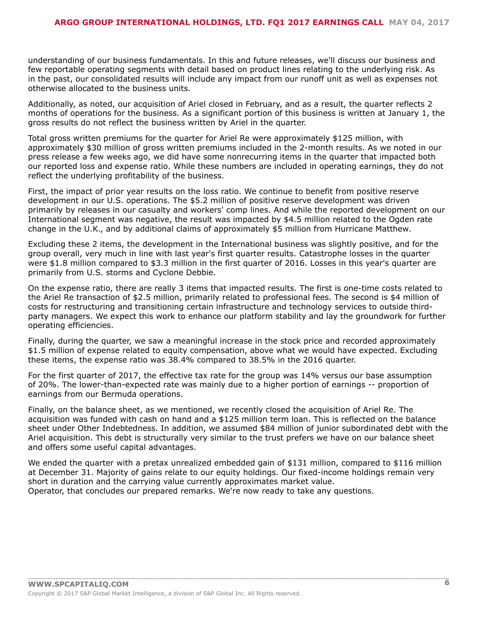understanding of our business fundamentals. In this and future releases, we'll discuss our business and few reportable operating segments with detail based on product lines relating to the underlying risk. As in the past, our consolidated results will include any impact from our runoff unit as well as expenses not otherwise allocated to the business units.

Additionally, as noted, our acquisition of Ariel closed in February, and as a result, the quarter reflects 2 months of operations for the business. As a significant portion of this business is written at January 1, the gross results do not reflect the business written by Ariel in the quarter.

Total gross written premiums for the quarter for Ariel Re were approximately \$125 million, with approximately \$30 million of gross written premiums included in the 2-month results. As we noted in our press release a few weeks ago, we did have some nonrecurring items in the quarter that impacted both our reported loss and expense ratio. While these numbers are included in operating earnings, they do not reflect the underlying profitability of the business.

First, the impact of prior year results on the loss ratio. We continue to benefit from positive reserve development in our U.S. operations. The \$5.2 million of positive reserve development was driven primarily by releases in our casualty and workers' comp lines. And while the reported development on our International segment was negative, the result was impacted by \$4.5 million related to the Ogden rate change in the U.K., and by additional claims of approximately \$5 million from Hurricane Matthew.

Excluding these 2 items, the development in the International business was slightly positive, and for the group overall, very much in line with last year's first quarter results. Catastrophe losses in the quarter were \$1.8 million compared to \$3.3 million in the first quarter of 2016. Losses in this year's quarter are primarily from U.S. storms and Cyclone Debbie.

On the expense ratio, there are really 3 items that impacted results. The first is one-time costs related to the Ariel Re transaction of \$2.5 million, primarily related to professional fees. The second is \$4 million of costs for restructuring and transitioning certain infrastructure and technology services to outside thirdparty managers. We expect this work to enhance our platform stability and lay the groundwork for further operating efficiencies.

Finally, during the quarter, we saw a meaningful increase in the stock price and recorded approximately \$1.5 million of expense related to equity compensation, above what we would have expected. Excluding these items, the expense ratio was 38.4% compared to 38.5% in the 2016 quarter.

For the first quarter of 2017, the effective tax rate for the group was 14% versus our base assumption of 20%. The lower-than-expected rate was mainly due to a higher portion of earnings -- proportion of earnings from our Bermuda operations.

Finally, on the balance sheet, as we mentioned, we recently closed the acquisition of Ariel Re. The acquisition was funded with cash on hand and a \$125 million term loan. This is reflected on the balance sheet under Other Indebtedness. In addition, we assumed \$84 million of junior subordinated debt with the Ariel acquisition. This debt is structurally very similar to the trust prefers we have on our balance sheet and offers some useful capital advantages.

We ended the quarter with a pretax unrealized embedded gain of \$131 million, compared to \$116 million at December 31. Majority of gains relate to our equity holdings. Our fixed-income holdings remain very short in duration and the carrying value currently approximates market value. Operator, that concludes our prepared remarks. We're now ready to take any questions.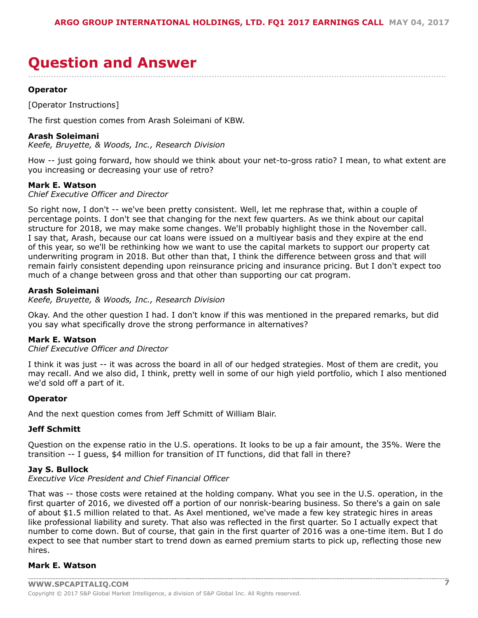# <span id="page-6-0"></span>**Question and Answer**

**Operator**

[Operator Instructions]

The first question comes from Arash Soleimani of KBW.

#### **Arash Soleimani**

*Keefe, Bruyette, & Woods, Inc., Research Division*

How -- just going forward, how should we think about your net-to-gross ratio? I mean, to what extent are you increasing or decreasing your use of retro?

....................................................................................................................................................................

#### **Mark E. Watson**

*Chief Executive Officer and Director*

So right now, I don't -- we've been pretty consistent. Well, let me rephrase that, within a couple of percentage points. I don't see that changing for the next few quarters. As we think about our capital structure for 2018, we may make some changes. We'll probably highlight those in the November call. I say that, Arash, because our cat loans were issued on a multiyear basis and they expire at the end of this year, so we'll be rethinking how we want to use the capital markets to support our property cat underwriting program in 2018. But other than that, I think the difference between gross and that will remain fairly consistent depending upon reinsurance pricing and insurance pricing. But I don't expect too much of a change between gross and that other than supporting our cat program.

#### **Arash Soleimani**

*Keefe, Bruyette, & Woods, Inc., Research Division*

Okay. And the other question I had. I don't know if this was mentioned in the prepared remarks, but did you say what specifically drove the strong performance in alternatives?

#### **Mark E. Watson**

*Chief Executive Officer and Director*

I think it was just -- it was across the board in all of our hedged strategies. Most of them are credit, you may recall. And we also did, I think, pretty well in some of our high yield portfolio, which I also mentioned we'd sold off a part of it.

#### **Operator**

And the next question comes from Jeff Schmitt of William Blair.

#### **Jeff Schmitt**

Question on the expense ratio in the U.S. operations. It looks to be up a fair amount, the 35%. Were the transition -- I guess, \$4 million for transition of IT functions, did that fall in there?

#### **Jay S. Bullock**

*Executive Vice President and Chief Financial Officer*

That was -- those costs were retained at the holding company. What you see in the U.S. operation, in the first quarter of 2016, we divested off a portion of our nonrisk-bearing business. So there's a gain on sale of about \$1.5 million related to that. As Axel mentioned, we've made a few key strategic hires in areas like professional liability and surety. That also was reflected in the first quarter. So I actually expect that number to come down. But of course, that gain in the first quarter of 2016 was a one-time item. But I do expect to see that number start to trend down as earned premium starts to pick up, reflecting those new hires.

#### **Mark E. Watson**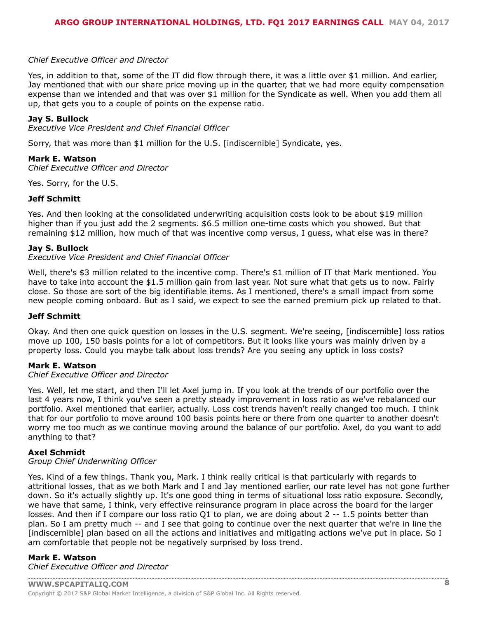#### *Chief Executive Officer and Director*

Yes, in addition to that, some of the IT did flow through there, it was a little over \$1 million. And earlier, Jay mentioned that with our share price moving up in the quarter, that we had more equity compensation expense than we intended and that was over \$1 million for the Syndicate as well. When you add them all up, that gets you to a couple of points on the expense ratio.

#### **Jay S. Bullock**

*Executive Vice President and Chief Financial Officer*

Sorry, that was more than \$1 million for the U.S. [indiscernible] Syndicate, yes.

#### **Mark E. Watson**

*Chief Executive Officer and Director*

Yes. Sorry, for the U.S.

#### **Jeff Schmitt**

Yes. And then looking at the consolidated underwriting acquisition costs look to be about \$19 million higher than if you just add the 2 segments. \$6.5 million one-time costs which you showed. But that remaining \$12 million, how much of that was incentive comp versus, I guess, what else was in there?

#### **Jay S. Bullock**

#### *Executive Vice President and Chief Financial Officer*

Well, there's \$3 million related to the incentive comp. There's \$1 million of IT that Mark mentioned. You have to take into account the \$1.5 million gain from last year. Not sure what that gets us to now. Fairly close. So those are sort of the big identifiable items. As I mentioned, there's a small impact from some new people coming onboard. But as I said, we expect to see the earned premium pick up related to that.

#### **Jeff Schmitt**

Okay. And then one quick question on losses in the U.S. segment. We're seeing, [indiscernible] loss ratios move up 100, 150 basis points for a lot of competitors. But it looks like yours was mainly driven by a property loss. Could you maybe talk about loss trends? Are you seeing any uptick in loss costs?

#### **Mark E. Watson**

#### *Chief Executive Officer and Director*

Yes. Well, let me start, and then I'll let Axel jump in. If you look at the trends of our portfolio over the last 4 years now, I think you've seen a pretty steady improvement in loss ratio as we've rebalanced our portfolio. Axel mentioned that earlier, actually. Loss cost trends haven't really changed too much. I think that for our portfolio to move around 100 basis points here or there from one quarter to another doesn't worry me too much as we continue moving around the balance of our portfolio. Axel, do you want to add anything to that?

#### **Axel Schmidt**

#### *Group Chief Underwriting Officer*

Yes. Kind of a few things. Thank you, Mark. I think really critical is that particularly with regards to attritional losses, that as we both Mark and I and Jay mentioned earlier, our rate level has not gone further down. So it's actually slightly up. It's one good thing in terms of situational loss ratio exposure. Secondly, we have that same, I think, very effective reinsurance program in place across the board for the larger losses. And then if I compare our loss ratio Q1 to plan, we are doing about 2 -- 1.5 points better than plan. So I am pretty much -- and I see that going to continue over the next quarter that we're in line the [indiscernible] plan based on all the actions and initiatives and mitigating actions we've put in place. So I am comfortable that people not be negatively surprised by loss trend.

#### **Mark E. Watson**

*Chief Executive Officer and Director*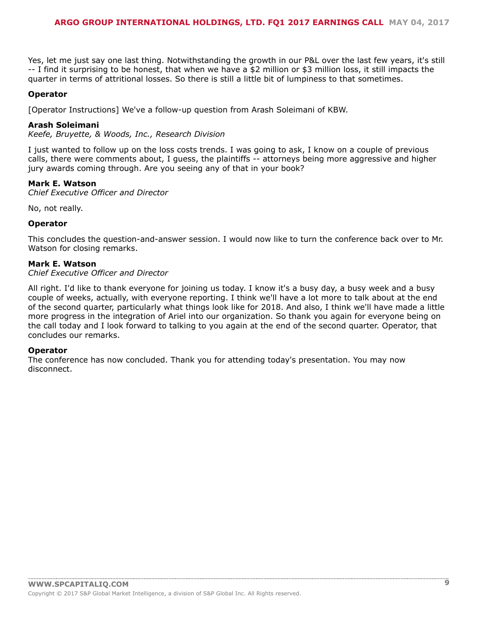#### **ARGO GROUP INTERNATIONAL HOLDINGS, LTD. FQ1 2017 EARNINGS CALL MAY 04, 2017**

Yes, let me just say one last thing. Notwithstanding the growth in our P&L over the last few years, it's still -- I find it surprising to be honest, that when we have a \$2 million or \$3 million loss, it still impacts the quarter in terms of attritional losses. So there is still a little bit of lumpiness to that sometimes.

#### **Operator**

[Operator Instructions] We've a follow-up question from Arash Soleimani of KBW.

#### **Arash Soleimani**

*Keefe, Bruyette, & Woods, Inc., Research Division*

I just wanted to follow up on the loss costs trends. I was going to ask, I know on a couple of previous calls, there were comments about, I guess, the plaintiffs -- attorneys being more aggressive and higher jury awards coming through. Are you seeing any of that in your book?

#### **Mark E. Watson**

*Chief Executive Officer and Director*

No, not really.

#### **Operator**

This concludes the question-and-answer session. I would now like to turn the conference back over to Mr. Watson for closing remarks.

#### **Mark E. Watson**

#### *Chief Executive Officer and Director*

All right. I'd like to thank everyone for joining us today. I know it's a busy day, a busy week and a busy couple of weeks, actually, with everyone reporting. I think we'll have a lot more to talk about at the end of the second quarter, particularly what things look like for 2018. And also, I think we'll have made a little more progress in the integration of Ariel into our organization. So thank you again for everyone being on the call today and I look forward to talking to you again at the end of the second quarter. Operator, that concludes our remarks.

#### **Operator**

The conference has now concluded. Thank you for attending today's presentation. You may now disconnect.